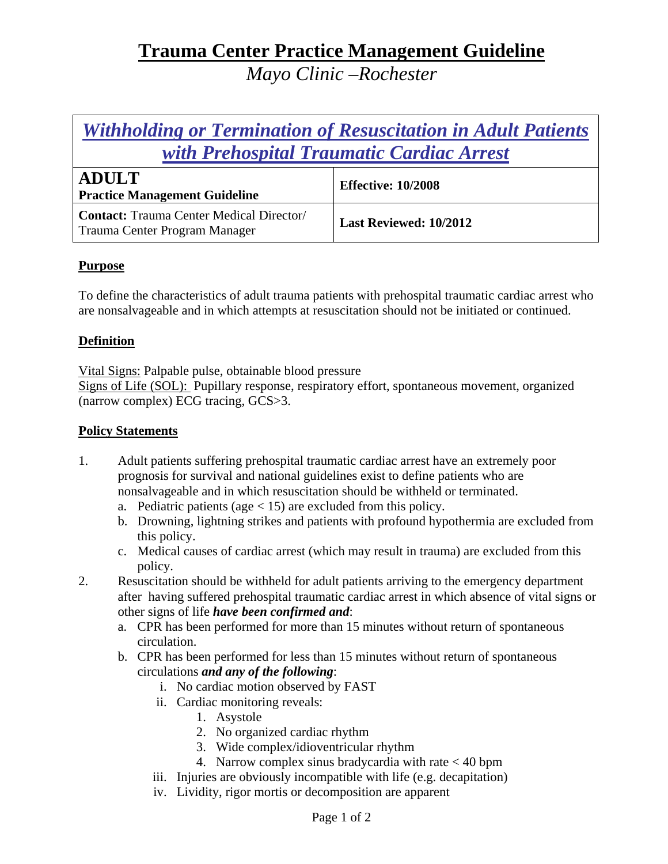# **Trauma Center Practice Management Guideline**

*Mayo Clinic –Rochester* 

## *Withholding or Termination of Resuscitation in Adult Patients with Prehospital Traumatic Cardiac Arrest*

| <b>ADULT</b><br><b>Practice Management Guideline</b>                             | <b>Effective: 10/2008</b> |
|----------------------------------------------------------------------------------|---------------------------|
| <b>Contact:</b> Trauma Center Medical Director/<br>Trauma Center Program Manager | Last Reviewed: 10/2012    |

### **Purpose**

To define the characteristics of adult trauma patients with prehospital traumatic cardiac arrest who are nonsalvageable and in which attempts at resuscitation should not be initiated or continued.

### **Definition**

Vital Signs: Palpable pulse, obtainable blood pressure

Signs of Life (SOL): Pupillary response, respiratory effort, spontaneous movement, organized (narrow complex) ECG tracing, GCS>3.

#### **Policy Statements**

- 1. Adult patients suffering prehospital traumatic cardiac arrest have an extremely poor prognosis for survival and national guidelines exist to define patients who are nonsalvageable and in which resuscitation should be withheld or terminated.
	- a. Pediatric patients (age  $<$  15) are excluded from this policy.
	- b. Drowning, lightning strikes and patients with profound hypothermia are excluded from this policy.
	- c. Medical causes of cardiac arrest (which may result in trauma) are excluded from this policy.
- 2. Resuscitation should be withheld for adult patients arriving to the emergency department after having suffered prehospital traumatic cardiac arrest in which absence of vital signs or other signs of life *have been confirmed and*:
	- a. CPR has been performed for more than 15 minutes without return of spontaneous circulation.
	- b. CPR has been performed for less than 15 minutes without return of spontaneous circulations *and any of the following*:
		- i. No cardiac motion observed by FAST
		- ii. Cardiac monitoring reveals:
			- 1. Asystole
			- 2. No organized cardiac rhythm
			- 3. Wide complex/idioventricular rhythm
			- 4. Narrow complex sinus bradycardia with rate < 40 bpm
		- iii. Injuries are obviously incompatible with life (e.g. decapitation)
		- iv. Lividity, rigor mortis or decomposition are apparent